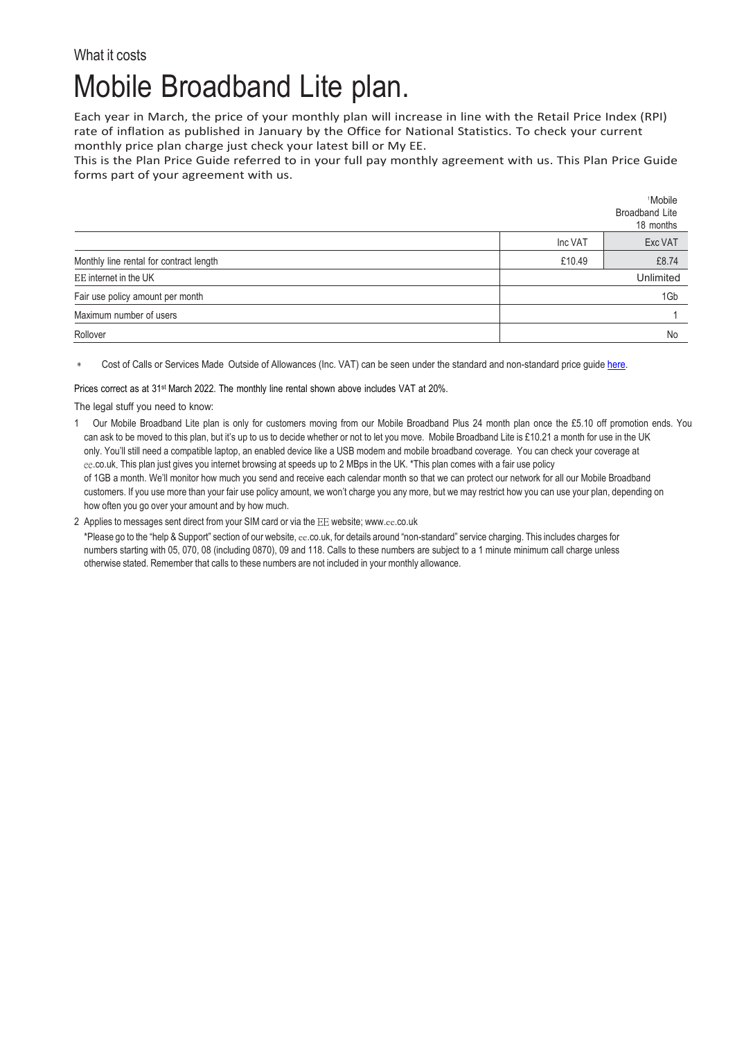## What it costs Mobile Broadband Lite plan.

Each year in March, the price of your monthly plan will increase in line with the Retail Price Index (RPI) rate of inflation as published in January by the Office for National Statistics. To check your current monthly price plan charge just check your latest bill or My EE.

This is the Plan Price Guide referred to in your full pay monthly agreement with us. This Plan Price Guide forms part of your agreement with us.

|                                         |           | <sup>1</sup> Mobile<br><b>Broadband Lite</b><br>18 months |
|-----------------------------------------|-----------|-----------------------------------------------------------|
|                                         | Inc VAT   | Exc VAT                                                   |
| Monthly line rental for contract length | £10.49    | £8.74                                                     |
| EE internet in the UK                   | Unlimited |                                                           |
| Fair use policy amount per month        | 1Gb       |                                                           |
| Maximum number of users                 |           |                                                           |
| Rollover                                |           | No                                                        |

Cost of Calls or Services Made Outside of Allowances (Inc. VAT) can be seen under the standard and non-standard price guid[e here.](https://ee.co.uk/help/help-new/price-plans/legacy-brand/pay-monthly-price-plans)

Prices correct as at 31<sup>st</sup> March 2022. The monthly line rental shown above includes VAT at 20%.

The legal stuff you need to know:

1 Our Mobile Broadband Lite plan is only for customers moving from our Mobile Broadband Plus 24 month plan once the £5.10 off promotion ends. You can ask to be moved to this plan, but it's up to us to decide whether or not to let you move. Mobile Broadband Lite is £10.21 a month for use in the UK only. You'll still need a compatible laptop, an enabled device like a USB modem and mobile broadband coverage. You can check your coverage at ee.co.uk. This plan just gives you internet browsing at speeds up to 2 MBps in the UK. \*This plan comes with a fair use policy of 1GB a month. We'll monitor how much you send and receive each calendar month so that we can protect our network for all our Mobile Broadband customers. If you use more than your fair use policy amount, we won't charge you any more, but we may restrict how you can use your plan, depending on how often you go over your amount and by how much.

2 Applies to messages sent direct from your SIM card or via the EE website; www.ee[.co.uk](http://www.ee.co.uk/)

\*Please go to the "help & Support" section of our website, ee.co.uk, for details around "non-standard" service charging. This includes charges for numbers starting with 05, 070, 08 (including 0870), 09 and 118. Calls to these numbers are subject to a 1 minute minimum call charge unless otherwise stated. Remember that calls to these numbers are not included in your monthly allowance.